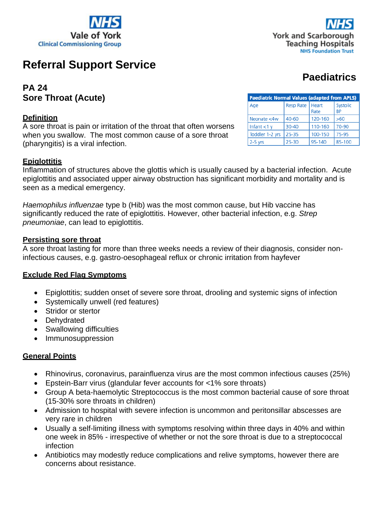



# **Referral Support Service**

# **PA 24 Sore Throat (Acute)**

#### **Definition**

A sore throat is pain or irritation of the throat that often worsens when you swallow. The most common cause of a sore throat (pharyngitis) is a viral infection.

#### **Epiglottitis**

Inflammation of structures above the glottis which is usually caused by a bacterial infection. Acute epiglottitis and associated upper airway obstruction has significant morbidity and mortality and is seen as a medical emergency.

*Haemophilus influenzae* type b (Hib) was the most common cause, but Hib vaccine has significantly reduced the rate of epiglottitis. However, other bacterial infection, e.g. *Strep pneumoniae*, can lead to epiglottitis.

#### **Persisting sore throat**

A sore throat lasting for more than three weeks needs a review of their diagnosis, consider noninfectious causes, e.g. gastro-oesophageal reflux or chronic irritation from hayfever

#### **Exclude Red Flag Symptoms**

- Epiglottitis; sudden onset of severe sore throat, drooling and systemic signs of infection
- Systemically unwell (red features)
- Stridor or stertor
- Dehydrated
- Swallowing difficulties
- Immunosuppression

#### **General Points**

- Rhinovirus, coronavirus, parainfluenza virus are the most common infectious causes (25%)
- Epstein-Barr virus (glandular fever accounts for <1% sore throats)
- Group A beta-haemolytic Streptococcus is the most common bacterial cause of sore throat (15-30% sore throats in children)
- Admission to hospital with severe infection is uncommon and peritonsillar abscesses are very rare in children
- Usually a self-limiting illness with symptoms resolving within three days in 40% and within one week in 85% - irrespective of whether or not the sore throat is due to a streptococcal infection
- Antibiotics may modestly reduce complications and relive symptoms, however there are concerns about resistance.

# **Paediatrics**

| <b>Paediatric Normal Values (adapted from APLS)</b> |                   |         |                       |  |  |  |
|-----------------------------------------------------|-------------------|---------|-----------------------|--|--|--|
| Age                                                 | Resp Rate   Heart | Rate    | Systolic<br><b>BP</b> |  |  |  |
| Neonate <4w                                         | 40-60             | 120-160 | >60                   |  |  |  |
| lnfant < 1 y                                        | 30-40             | 110-160 | 70-90                 |  |  |  |
| Toddler 1-2 yrs                                     | 25-35             | 100-150 | 75-95                 |  |  |  |
| 2-5 yrs                                             | 25-30             | 95-140  | 85-100                |  |  |  |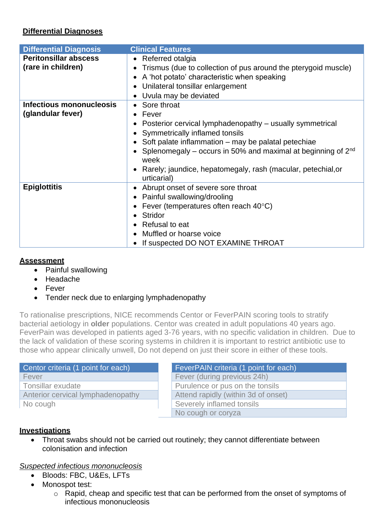# **Differential Diagnoses**

| <b>Differential Diagnosis</b>                      | <b>Clinical Features</b>                                                                                                                                                                                                                                                                                                                              |
|----------------------------------------------------|-------------------------------------------------------------------------------------------------------------------------------------------------------------------------------------------------------------------------------------------------------------------------------------------------------------------------------------------------------|
| <b>Peritonsillar abscess</b><br>(rare in children) | • Referred otalgia<br>Trismus (due to collection of pus around the pterygoid muscle)<br>A 'hot potato' characteristic when speaking<br>Unilateral tonsillar enlargement<br>Uvula may be deviated                                                                                                                                                      |
| Infectious mononucleosis<br>(glandular fever)      | • Sore throat<br>$\bullet$ Fever<br>Posterior cervical lymphadenopathy - usually symmetrical<br>Symmetrically inflamed tonsils<br>Soft palate inflammation – may be palatal petechiae<br>• Splenomegaly – occurs in 50% and maximal at beginning of $2^{nd}$<br>week<br>• Rarely; jaundice, hepatomegaly, rash (macular, petechial, or<br>urticarial) |
| <b>Epiglottitis</b>                                | • Abrupt onset of severe sore throat<br>• Painful swallowing/drooling<br>Fever (temperatures often reach 40°C)<br><b>Stridor</b><br>Refusal to eat<br>Muffled or hoarse voice<br>If suspected DO NOT EXAMINE THROAT                                                                                                                                   |

## **Assessment**

- Painful swallowing
- Headache
- Fever
- Tender neck due to enlarging lymphadenopathy

To rationalise prescriptions, NICE recommends Centor or FeverPAIN scoring tools to stratify bacterial aetiology in **older** populations. Centor was created in adult populations 40 years ago. FeverPain was developed in patients aged 3-76 years, with no specific validation in children. Due to the lack of validation of these scoring systems in children it is important to restrict antibiotic use to those who appear clinically unwell, Do not depend on just their score in either of these tools.

| Centor criteria (1 point for each) |
|------------------------------------|
| Fever                              |
| Tonsillar exudate                  |
| Anterior cervical lymphadenopathy  |
| No cough                           |

FeverPAIN criteria (1 point for each) Fever (during previous 24h) Purulence or pus on the tonsils Attend rapidly (within 3d of onset) Severely inflamed tonsils No cough or coryza

## **Investigations**

• Throat swabs should not be carried out routinely; they cannot differentiate between colonisation and infection

## *Suspected infectious mononucleosis*

- Bloods: FBC, U&Es, LFTs
- Monospot test:
	- o Rapid, cheap and specific test that can be performed from the onset of symptoms of infectious mononucleosis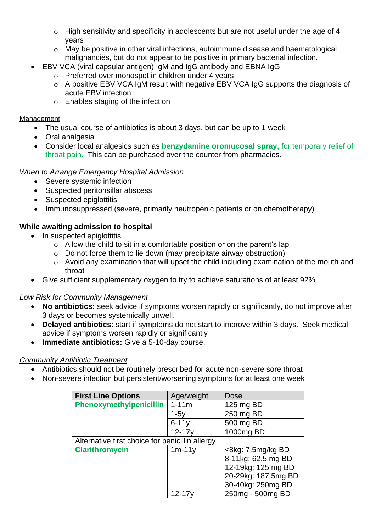- $\circ$  High sensitivity and specificity in adolescents but are not useful under the age of 4 years
- o May be positive in other viral infections, autoimmune disease and haematological malignancies, but do not appear to be positive in primary bacterial infection.
- EBV VCA (viral capsular antigen) IgM and IgG antibody and EBNA IgG
	- o Preferred over monospot in children under 4 years
	- o A positive EBV VCA IgM result with negative EBV VCA IgG supports the diagnosis of acute EBV infection
	- o Enables staging of the infection

#### **Management**

- The usual course of antibiotics is about 3 days, but can be up to 1 week
- Oral analgesia
- Consider local analgesics such as **benzydamine oromucosal spray,** for temporary relief of throat pain. This can be purchased over the counter from pharmacies.

#### *When to Arrange Emergency Hospital Admission*

- Severe systemic infection
- Suspected peritonsillar abscess
- Suspected epiglottitis
- Immunosuppressed (severe, primarily neutropenic patients or on chemotherapy)

# **While awaiting admission to hospital**

- In suspected epiglottitis
	- $\circ$  Allow the child to sit in a comfortable position or on the parent's lap
	- $\circ$  Do not force them to lie down (may precipitate airway obstruction)
	- o Avoid any examination that will upset the child including examination of the mouth and throat
- Give sufficient supplementary oxygen to try to achieve saturations of at least 92%

## *Low Risk for Community Management*

- **No antibiotics:** seek advice if symptoms worsen rapidly or significantly, do not improve after 3 days or becomes systemically unwell.
- **Delayed antibiotics**: start if symptoms do not start to improve within 3 days. Seek medical advice if symptoms worsen rapidly or significantly
- **Immediate antibiotics:** Give a 5-10-day course.

## *Community Antibiotic Treatment*

- Antibiotics should not be routinely prescribed for acute non-severe sore throat
- Non-severe infection but persistent/worsening symptoms for at least one week

| <b>First Line Options</b>                       | Age/weight | Dose                       |
|-------------------------------------------------|------------|----------------------------|
| Phenoxymethylpenicillin                         | $1 - 11m$  | 125 mg BD                  |
|                                                 | $1-5y$     | 250 mg BD                  |
|                                                 | $6 - 11v$  | 500 mg BD                  |
|                                                 | $12 - 17y$ | 1000mg BD                  |
| Alternative first choice for penicillin allergy |            |                            |
| <b>Clarithromycin</b>                           | $1m-11y$   | $\langle$ 8kg: 7.5mg/kg BD |
|                                                 |            | 8-11kg: 62.5 mg BD         |
|                                                 |            | 12-19kg: 125 mg BD         |
|                                                 |            | 20-29kg: 187.5mg BD        |
|                                                 |            | 30-40kg: 250mg BD          |
|                                                 | $12 - 17v$ | 250mg - 500mg BD           |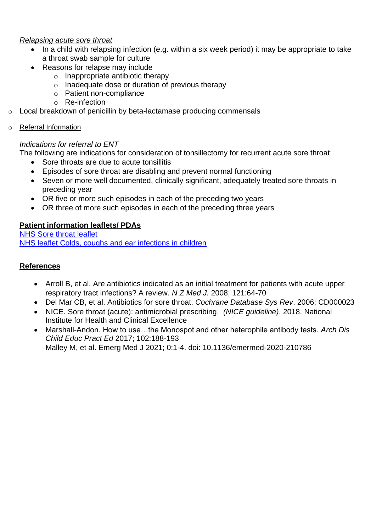#### *Relapsing acute sore throat*

- In a child with relapsing infection (e.g. within a six week period) it may be appropriate to take a throat swab sample for culture
- Reasons for relapse may include
	- $\circ$  Inappropriate antibiotic therapy
	- o Inadequate dose or duration of previous therapy
	- o Patient non-compliance
	- o Re-infection
- Local breakdown of penicillin by beta-lactamase producing commensals
- o Referral Information

# *Indications for referral to ENT*

The following are indications for consideration of tonsillectomy for recurrent acute sore throat:

- Sore throats are due to acute tonsillitis
- Episodes of sore throat are disabling and prevent normal functioning
- Seven or more well documented, clinically significant, adequately treated sore throats in preceding year
- OR five or more such episodes in each of the preceding two years
- OR three of more such episodes in each of the preceding three years

# **Patient information leaflets/ PDAs**

[NHS Sore throat leaflet](https://www.nhs.uk/conditions/sore-throat/) [NHS leaflet Colds, coughs and ear infections in children](https://www.nhs.uk/conditions/baby/health/colds-coughs-and-ear-infections-in-children/)

# **References**

- Arroll B, et al. Are antibiotics indicated as an initial treatment for patients with acute upper respiratory tract infections? A review. *N Z Med J.* 2008; 121:64-70
- Del Mar CB, et al. Antibiotics for sore throat. *Cochrane Database Sys Rev*. 2006; CD000023
- NICE. Sore throat (acute): antimicrobial prescribing. *(NICE guideline)*. 2018. National Institute for Health and Clinical Excellence
- Marshall-Andon. How to use…the Monospot and other heterophile antibody tests. *Arch Dis Child Educ Pract Ed* 2017; 102:188-193 Malley M, et al. Emerg Med J 2021; 0:1-4. doi: 10.1136/emermed-2020-210786